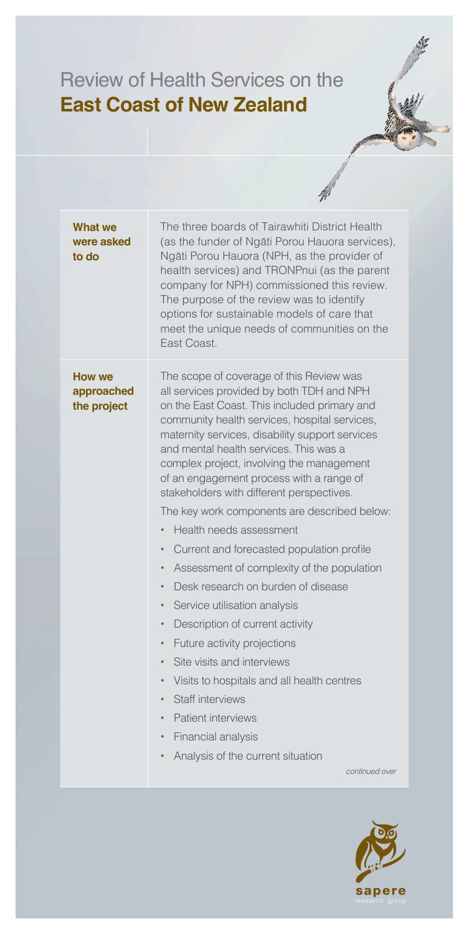## Review of Health Services on the **East Coast of New Zealand**

| <b>What we</b><br>were asked<br>to do | The three boards of Tairawhiti District Health<br>(as the funder of Ngāti Porou Hauora services),<br>Ngāti Porou Hauora (NPH, as the provider of<br>health services) and TRONPnui (as the parent<br>company for NPH) commissioned this review.<br>The purpose of the review was to identify<br>options for sustainable models of care that<br>meet the unique needs of communities on the<br>East Coast.                                                                                                                                                                                                                                                                                                                                                                                                                                                                                                                                                                                                       |
|---------------------------------------|----------------------------------------------------------------------------------------------------------------------------------------------------------------------------------------------------------------------------------------------------------------------------------------------------------------------------------------------------------------------------------------------------------------------------------------------------------------------------------------------------------------------------------------------------------------------------------------------------------------------------------------------------------------------------------------------------------------------------------------------------------------------------------------------------------------------------------------------------------------------------------------------------------------------------------------------------------------------------------------------------------------|
| How we<br>approached<br>the project   | The scope of coverage of this Review was<br>all services provided by both TDH and NPH<br>on the East Coast. This included primary and<br>community health services, hospital services,<br>maternity services, disability support services<br>and mental health services. This was a<br>complex project, involving the management<br>of an engagement process with a range of<br>stakeholders with different perspectives.<br>The key work components are described below:<br>Health needs assessment<br>Current and forecasted population profile<br>٠<br>Assessment of complexity of the population<br>٠<br>Desk research on burden of disease<br>٠<br>Service utilisation analysis<br>٠<br>Description of current activity<br>٠<br>Future activity projections<br>٠<br>Site visits and interviews<br>$\bullet$<br>Visits to hospitals and all health centres<br>$\bullet$<br>Staff interviews<br><b>Patient interviews</b><br>Financial analysis<br>٠<br>Analysis of the current situation<br>continued over |